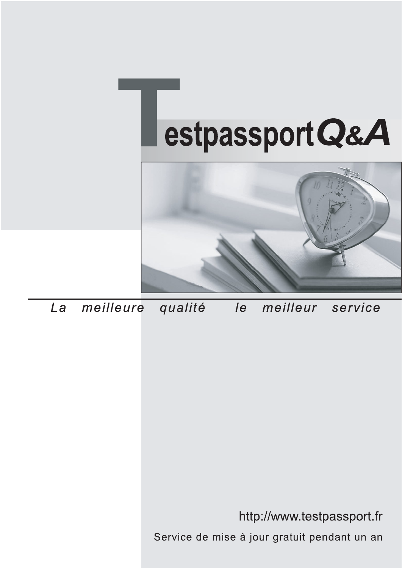



meilleure La qualité  $\overline{e}$ meilleur service

http://www.testpassport.fr

Service de mise à jour gratuit pendant un an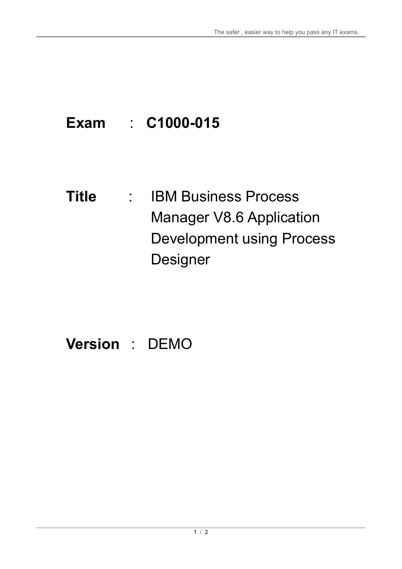# **Exam** : **C1000-015**

**Title** : IBM Business Process Manager V8.6 Application Development using Process Designer

# **Version** : DEMO